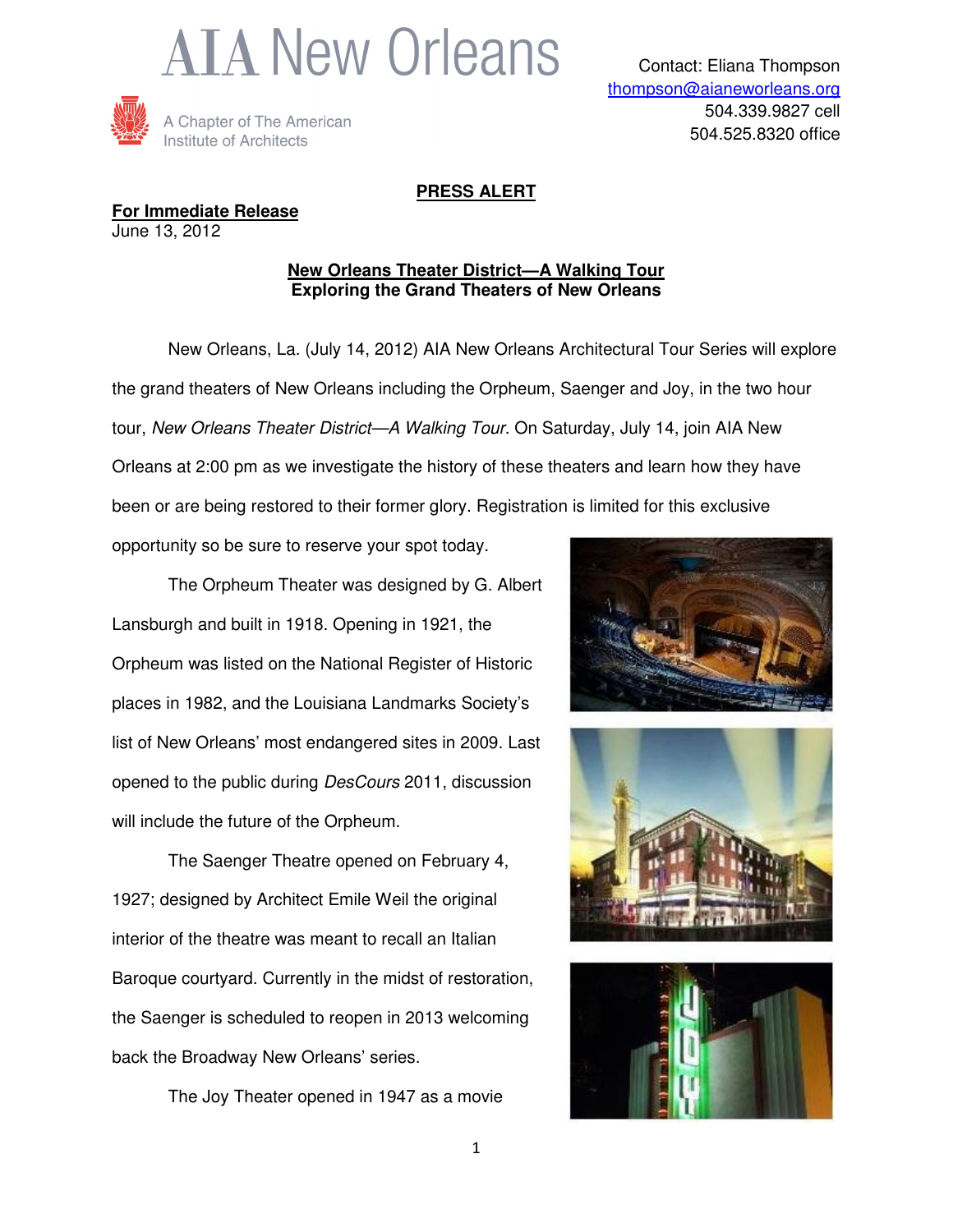



## **PRESS ALERT**

**For Immediate Release** June 13, 2012

## **New Orleans Theater District—A Walking Tour Exploring the Grand Theaters of New Orleans**

 New Orleans, La. (July 14, 2012) AIA New Orleans Architectural Tour Series will explore the grand theaters of New Orleans including the Orpheum, Saenger and Joy, in the two hour tour, New Orleans Theater District—A Walking Tour. On Saturday, July 14, join AIA New Orleans at 2:00 pm as we investigate the history of these theaters and learn how they have been or are being restored to their former glory. Registration is limited for this exclusive

opportunity so be sure to reserve your spot today.

The Orpheum Theater was designed by G. Albert Lansburgh and built in 1918. Opening in 1921, the Orpheum was listed on the National Register of Historic places in 1982, and the Louisiana Landmarks Society's list of New Orleans' most endangered sites in 2009. Last opened to the public during DesCours 2011, discussion will include the future of the Orpheum.

The Saenger Theatre opened on February 4, 1927; designed by Architect Emile Weil the original interior of the theatre was meant to recall an Italian Baroque courtyard. Currently in the midst of restoration, the Saenger is scheduled to reopen in 2013 welcoming back the Broadway New Orleans' series.

The Joy Theater opened in 1947 as a movie